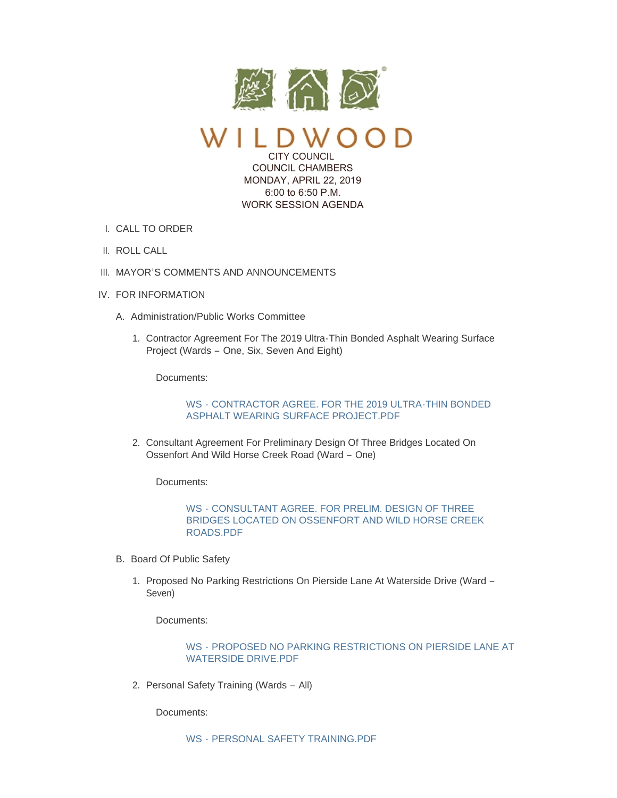

 $\mathcal{L}$ CITY COUNCIL

 COUNCIL CHAMBERS MONDAY, APRIL 22, 2019 6:00 to 6:50 P.M. WORK SESSION AGENDA

- CALL TO ORDER I.
- II. ROLL CALL
- III. MAYOR'S COMMENTS AND ANNOUNCEMENTS
- IV. FOR INFORMATION
	- A. Administration/Public Works Committee
		- 1. Contractor Agreement For The 2019 Ultra-Thin Bonded Asphalt Wearing Surface Project (Wards – One, Six, Seven And Eight)

Documents:

WS - [CONTRACTOR AGREE. FOR THE 2019 ULTRA-THIN BONDED](https://www.cityofwildwood.com/AgendaCenter/ViewFile/Item/20002?fileID=25922)  ASPHALT WEARING SURFACE PROJECT.PDF

2. Consultant Agreement For Preliminary Design Of Three Bridges Located On Ossenfort And Wild Horse Creek Road (Ward – One)

Documents:

WS - CONSULTANT AGREE. FOR PRELIM. DESIGN OF THREE [BRIDGES LOCATED ON OSSENFORT AND WILD HORSE CREEK](https://www.cityofwildwood.com/AgendaCenter/ViewFile/Item/20003?fileID=25923)  ROADS.PDF

- B. Board Of Public Safety
	- 1. Proposed No Parking Restrictions On Pierside Lane At Waterside Drive (Ward -Seven)

Documents:

WS - [PROPOSED NO PARKING RESTRICTIONS ON PIERSIDE LANE AT](https://www.cityofwildwood.com/AgendaCenter/ViewFile/Item/20005?fileID=25924)  WATERSIDE DRIVE.PDF

2. Personal Safety Training (Wards - All)

Documents: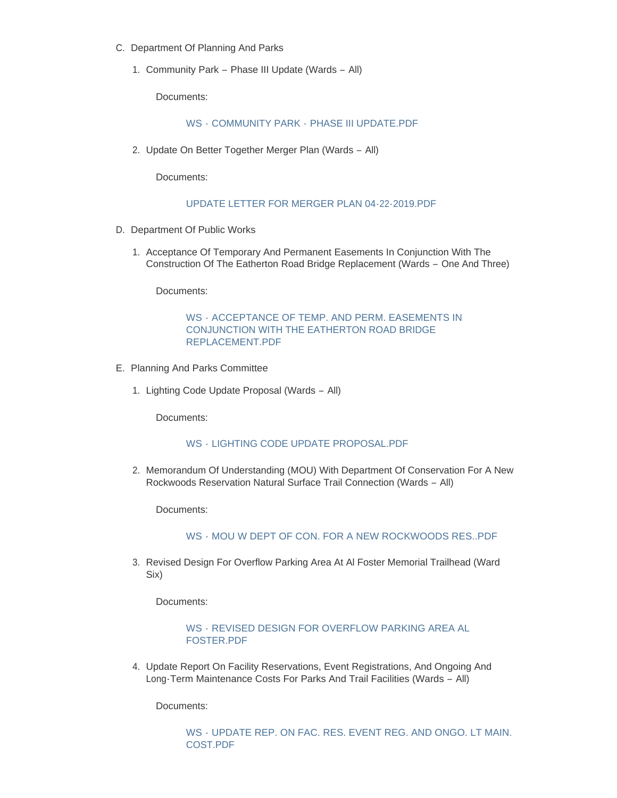- C. Department Of Planning And Parks
	- 1. Community Park Phase III Update (Wards All)

Documents:

## WS - COMMUNITY PARK - [PHASE III UPDATE.PDF](https://www.cityofwildwood.com/AgendaCenter/ViewFile/Item/20008?fileID=25926)

2. Update On Better Together Merger Plan (Wards - All)

Documents:

#### [UPDATE LETTER FOR MERGER PLAN 04-22-2019.PDF](https://www.cityofwildwood.com/AgendaCenter/ViewFile/Item/20056?fileID=25956)

- D. Department Of Public Works
	- 1. Acceptance Of Temporary And Permanent Easements In Conjunction With The Construction Of The Eatherton Road Bridge Replacement (Wards – One And Three)

Documents:

WS - [ACCEPTANCE OF TEMP. AND PERM. EASEMENTS IN](https://www.cityofwildwood.com/AgendaCenter/ViewFile/Item/20011?fileID=25927)  CONJUNCTION WITH THE EATHERTON ROAD BRIDGE REPLACEMENT.PDF

- E. Planning And Parks Committee
	- 1. Lighting Code Update Proposal (Wards All)

Documents:

# WS - [LIGHTING CODE UPDATE PROPOSAL.PDF](https://www.cityofwildwood.com/AgendaCenter/ViewFile/Item/20013?fileID=25928)

2. Memorandum Of Understanding (MOU) With Department Of Conservation For A New Rockwoods Reservation Natural Surface Trail Connection (Wards – All)

Documents:

WS - [MOU W DEPT OF CON. FOR A NEW ROCKWOODS RES..PDF](https://www.cityofwildwood.com/AgendaCenter/ViewFile/Item/20014?fileID=25929)

3. Revised Design For Overflow Parking Area At Al Foster Memorial Trailhead (Ward Six)

Documents:

# WS - [REVISED DESIGN FOR OVERFLOW PARKING AREA AL](https://www.cityofwildwood.com/AgendaCenter/ViewFile/Item/20015?fileID=25930)  FOSTER.PDF

4. Update Report On Facility Reservations, Event Registrations, And Ongoing And Long-Term Maintenance Costs For Parks And Trail Facilities (Wards – All)

Documents:

WS - [UPDATE REP. ON FAC. RES. EVENT REG. AND ONGO. LT MAIN.](https://www.cityofwildwood.com/AgendaCenter/ViewFile/Item/20016?fileID=25931)  COST.PDF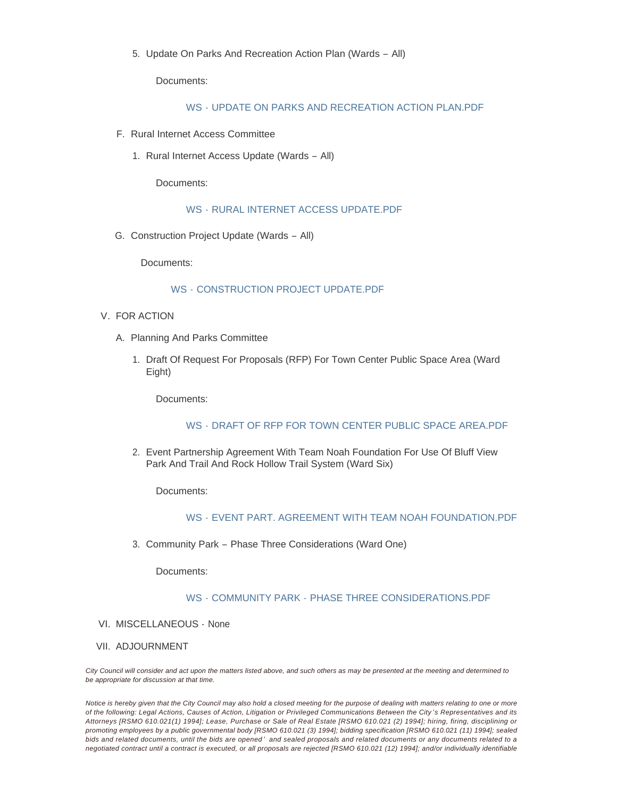5. Update On Parks And Recreation Action Plan (Wards – All)

Documents:

## WS - [UPDATE ON PARKS AND RECREATION ACTION PLAN.PDF](https://www.cityofwildwood.com/AgendaCenter/ViewFile/Item/20017?fileID=25932)

- F. Rural Internet Access Committee
	- 1. Rural Internet Access Update (Wards All)

Documents:

## WS - [RURAL INTERNET ACCESS UPDATE.PDF](https://www.cityofwildwood.com/AgendaCenter/ViewFile/Item/20019?fileID=25933)

G. Construction Project Update (Wards - All)

Documents:

## WS - [CONSTRUCTION PROJECT UPDATE.PDF](https://www.cityofwildwood.com/AgendaCenter/ViewFile/Item/20020?fileID=25934)

- V. FOR ACTION
	- A. Planning And Parks Committee
		- 1. Draft Of Request For Proposals (RFP) For Town Center Public Space Area (Ward Eight)

Documents:

#### WS - [DRAFT OF RFP FOR TOWN CENTER PUBLIC SPACE AREA.PDF](https://www.cityofwildwood.com/AgendaCenter/ViewFile/Item/20023?fileID=25935)

Event Partnership Agreement With Team Noah Foundation For Use Of Bluff View 2. Park And Trail And Rock Hollow Trail System (Ward Six)

Documents:

# WS - [EVENT PART. AGREEMENT WITH TEAM NOAH FOUNDATION.PDF](https://www.cityofwildwood.com/AgendaCenter/ViewFile/Item/20024?fileID=25936)

Community Park – Phase Three Considerations (Ward One) 3.

Documents:

# WS - COMMUNITY PARK - [PHASE THREE CONSIDERATIONS.PDF](https://www.cityofwildwood.com/AgendaCenter/ViewFile/Item/20025?fileID=25937)

- VI. MISCELLANEOUS None
- VII. ADJOURNMENT

*City Council will consider and act upon the matters listed above, and such others as may be presented at the meeting and determined to be appropriate for discussion at that time.*

*Notice is hereby given that the City Council may also hold a closed meeting for the purpose of dealing with matters relating to one or more of the following: Legal Actions, Causes of Action, Litigation or Privileged Communications Between the City 's Representatives and its Attorneys [RSMO 610.021(1) 1994]; Lease, Purchase or Sale of Real Estate [RSMO 610.021 (2) 1994]; hiring, firing, disciplining or promoting employees by a public governmental body [RSMO 610.021 (3) 1994]; bidding specification [RSMO 610.021 (11) 1994]; sealed bids and related documents, until the bids are opened ' and sealed proposals and related documents or any documents related to a negotiated contract until a contract is executed, or all proposals are rejected [RSMO 610.021 (12) 1994]; and/or individually identifiable*